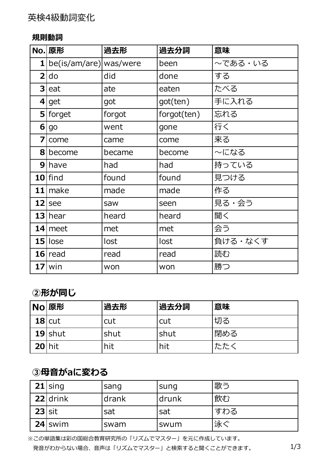#### **規則動詞**

|   | No. 原形                   | 過去形    | 過去分詞        | 意味      |
|---|--------------------------|--------|-------------|---------|
|   | 1 be(is/am/are) was/were |        | been        | ~である・いる |
|   | $2$ do                   | did    | done        | する      |
|   | $3$ eat                  | ate    | eaten       | たべる     |
|   | $4$ get                  | got    | got(ten)    | 手に入れる   |
|   | $5$ forget               | forgot | forgot(ten) | 忘れる     |
|   | 6 go                     | went   | gone        | 行く      |
| 7 | come                     | came   | come        | 来る      |
|   | 8 become                 | became | become      | 〜になる    |
|   | $9$   have               | had    | had         | 持っている   |
|   | $10$  find               | found  | found       | 見つける    |
|   | $11$ make                | made   | made        | 作る      |
|   | $12$ see                 | saw    | seen        | 見る・会う   |
|   | $13$ hear                | heard  | heard       | 聞く      |
|   | $14$ meet                | met    | met         | 会う      |
|   | $15$  lose               | lost   | lost        | 負ける・なくす |
|   | $16$ read                | read   | read        | 読む      |
|   | $17$ win                 | won    | won         | 勝つ      |

#### **②形が同じ**

|            | No 原形     | 過去形  | 過去分詞        | 意味  |
|------------|-----------|------|-------------|-----|
|            | $18$ cut  | cut  | cut         | 切る  |
|            | $19$ shut | shut | <b>shut</b> | 閉める |
| $20$   hit |           | hit  | hit         | たたく |

## **③⺟⾳がaに変わる**

|          | $21$ sing  | sang  | sung  | 歌う  |
|----------|------------|-------|-------|-----|
|          | $22$ drink | drank | drunk | 飲む  |
| $23$ sit |            | sat   | sat   | すわる |
|          | $24$ swim  | swam  | swum  | 泳ぐ  |

※この単語集は彩の国総合教育研究所の「リズムでマスター」を元に作成しています。 発音がわからない場合、音声は「リズムでマスター」と検索すると聞くことができます。 1/3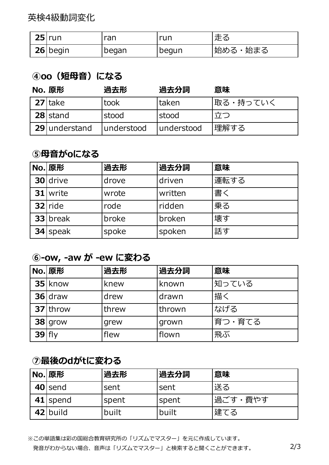英検4級動詞変化

| $25$ run   | ran   | run            | 走る      |
|------------|-------|----------------|---------|
| $26$ begin | began | <u>I</u> begun | 始める・始まる |

#### **④oo(短⺟⾳)になる**

| No. 原形        | 過去形        | 過去分詞          | 意味       |
|---------------|------------|---------------|----------|
| $27$ take     | took       | <b>Itaken</b> | 取る・持っていく |
| $28$ stand    | stood      | stood         | 立つ       |
| 29 understand | understood | understood    | 理解する     |

#### **⑤母音がoになる**

| No. 原形     | 過去形   | 過去分詞    | 意味   |
|------------|-------|---------|------|
| $30$ drive | drove | driven  | 運転する |
| $31$ write | wrote | written | 書く   |
| $32$ ride  | rode  | ridden  | 乗る   |
| $33$ break | broke | broken  | 壊す   |
| $34$ speak | spoke | spoken  | 話す   |

### **⑥-ow, -aw が -ew に変わる**

|          | No. 原形     | 過去形   | 過去分詞   | 意味     |
|----------|------------|-------|--------|--------|
|          | $35$ know  | knew  | known  | 知っている  |
|          | $36$ draw  | drew  | drawn  | 描く     |
|          | $37$ throw | threw | thrown | なげる    |
|          | $38$ grow  | grew  | grown  | 育つ・育てる |
| $39$ fly |            | flew  | flown  | 飛ぶ     |

## **⑦最後のdがtに変わる**

| No. 原形     | 過去形   | 過去分詞         | 意味      |
|------------|-------|--------------|---------|
| $40$ send  | sent  | sent         | 送る      |
| $41$ spend | spent | <b>spent</b> | 過ごす・費やす |
| 42 build   | built | built        | 建てる     |

※この単語集は彩の国総合教育研究所の「リズムでマスター」を元に作成しています。 発音がわからない場合、音声は「リズムでマスター」と検索すると聞くことができます。 2/3